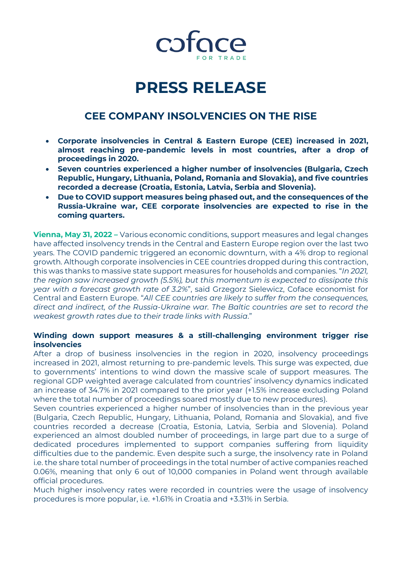

# **PRESS RELEASE**

## **CEE COMPANY INSOLVENCIES ON THE RISE**

- **Corporate insolvencies in Central & Eastern Europe (CEE) increased in 2021, almost reaching pre-pandemic levels in most countries, after a drop of proceedings in 2020.**
- **Seven countries experienced a higher number of insolvencies (Bulgaria, Czech Republic, Hungary, Lithuania, Poland, Romania and Slovakia), and five countries recorded a decrease (Croatia, Estonia, Latvia, Serbia and Slovenia).**
- **Due to COVID support measures being phased out, and the consequences of the Russia-Ukraine war, CEE corporate insolvencies are expected to rise in the coming quarters.**

**Vienna, May 31, 2022 –** Various economic conditions, support measures and legal changes have affected insolvency trends in the Central and Eastern Europe region over the last two years. The COVID pandemic triggered an economic downturn, with a 4% drop to regional growth. Although corporate insolvencies in CEE countries dropped during this contraction, this was thanks to massive state support measures for households and companies. "*In 2021, the region saw increased growth (5.5%), but this momentum is expected to dissipate this year with a forecast growth rate of 3.2%*", said Grzegorz Sielewicz, Coface economist for Central and Eastern Europe. "*All CEE countries are likely to suffer from the consequences, direct and indirect, of the Russia-Ukraine war. The Baltic countries are set to record the weakest growth rates due to their trade links with Russia*."

### **Winding down support measures & a still-challenging environment trigger rise insolvencies**

After a drop of business insolvencies in the region in 2020, insolvency proceedings increased in 2021, almost returning to pre-pandemic levels. This surge was expected, due to governments' intentions to wind down the massive scale of support measures. The regional GDP weighted average calculated from countries' insolvency dynamics indicated an increase of 34.7% in 2021 compared to the prior year (+1.5% increase excluding Poland where the total number of proceedings soared mostly due to new procedures).

Seven countries experienced a higher number of insolvencies than in the previous year (Bulgaria, Czech Republic, Hungary, Lithuania, Poland, Romania and Slovakia), and five countries recorded a decrease (Croatia, Estonia, Latvia, Serbia and Slovenia). Poland experienced an almost doubled number of proceedings, in large part due to a surge of dedicated procedures implemented to support companies suffering from liquidity difficulties due to the pandemic. Even despite such a surge, the insolvency rate in Poland i.e. the share total number of proceedings in the total number of active companies reached 0.06%, meaning that only 6 out of 10,000 companies in Poland went through available official procedures.

Much higher insolvency rates were recorded in countries were the usage of insolvency procedures is more popular, i.e. +1.61% in Croatia and +3.31% in Serbia.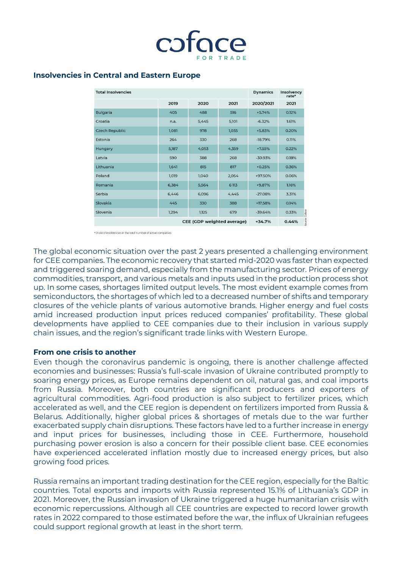

#### **Insolvencies in Central and Eastern Europe**

| <b>Total Insolvencies</b>         |       |       |       | <b>Dynamics</b> | Insolvency<br>rate*    |
|-----------------------------------|-------|-------|-------|-----------------|------------------------|
|                                   | 2019  | 2020  | 2021  | 2020/2021       | 2021                   |
| <b>Bulgaria</b>                   | 405   | 488   | 516   | $+5.74%$        | 0.12%                  |
| Croatia                           | n.a.  | 5,445 | 5,101 | $-6.32%$        | 1.61%                  |
| <b>Czech Republic</b>             | 1,081 | 978   | 1,035 | +5.83%          | 0.20%                  |
| Estonia                           | 264   | 330   | 268   | $-18.79%$       | 0.11%                  |
| Hungary                           | 5,187 | 4,053 | 4,359 | $+7.55%$        | 0.22%                  |
| Latvia                            | 590   | 388   | 268   | $-30.93%$       | 0.18%                  |
| Lithuania                         | 1,641 | 815   | 817   | $+0.25%$        | 0.36%                  |
| Poland                            | 1,019 | 1,040 | 2,054 | +97.50%         | 0.06%                  |
| Romania                           | 6,384 | 5,564 | 6 113 | +9.87%          | 1.16%                  |
| Serbia                            | 6,446 | 6,096 | 4,445 | $-27.08%$       | 3.31%                  |
| Slovakia                          | 445   | 330   | 388   | +17.58%         | 0.14%                  |
| Slovenia                          | 1,294 | 1,125 | 679   | $-39.64%$       | purce: Coface<br>0.33% |
| <b>CEE</b> (GDP weighted average) |       |       |       | $+34.7%$        | 0.44%                  |

\* Share of insolvencies in the total number of active companies

The global economic situation over the past 2 years presented a challenging environment for CEE companies. The economic recovery that started mid-2020 was faster than expected and triggered soaring demand, especially from the manufacturing sector. Prices of energy commodities, transport, and various metals and inputs used in the production process shot up. In some cases, shortages limited output levels. The most evident example comes from semiconductors, the shortages of which led to a decreased number of shifts and temporary closures of the vehicle plants of various automotive brands. Higher energy and fuel costs amid increased production input prices reduced companies' profitability. These global developments have applied to CEE companies due to their inclusion in various supply chain issues, and the region's significant trade links with Western Europe.

#### **From one crisis to another**

Even though the coronavirus pandemic is ongoing, there is another challenge affected economies and businesses: Russia's full-scale invasion of Ukraine contributed promptly to soaring energy prices, as Europe remains dependent on oil, natural gas, and coal imports from Russia. Moreover, both countries are significant producers and exporters of agricultural commodities. Agri-food production is also subject to fertilizer prices, which accelerated as well, and the CEE region is dependent on fertilizers imported from Russia & Belarus. Additionally, higher global prices & shortages of metals due to the war further exacerbated supply chain disruptions. These factors have led to a further increase in energy and input prices for businesses, including those in CEE. Furthermore, household purchasing power erosion is also a concern for their possible client base. CEE economies have experienced accelerated inflation mostly due to increased energy prices, but also growing food prices.

Russia remains an important trading destination for the CEE region, especially for the Baltic countries. Total exports and imports with Russia represented 15.1% of Lithuania's GDP in 2021. Moreover, the Russian invasion of Ukraine triggered a huge humanitarian crisis with economic repercussions. Although all CEE countries are expected to record lower growth rates in 2022 compared to those estimated before the war, the influx of Ukrainian refugees could support regional growth at least in the short term.